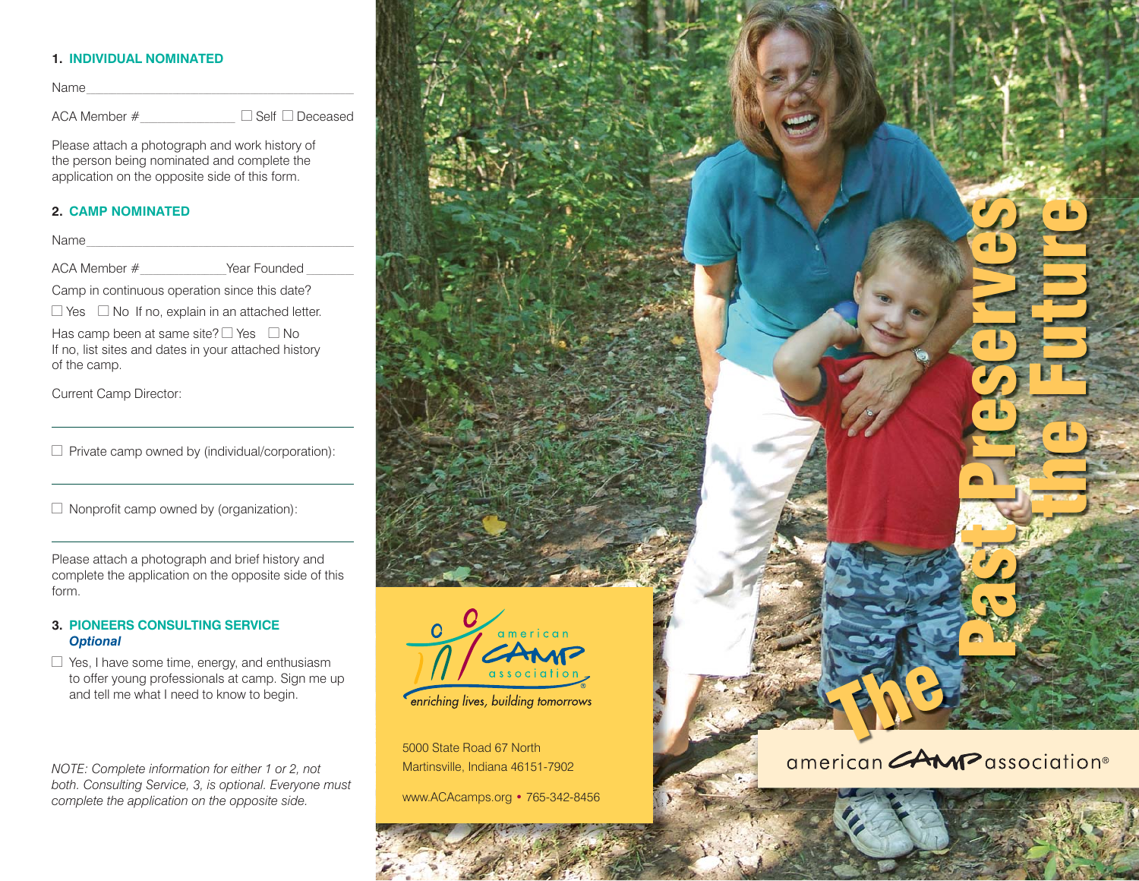### **1. INDIVIDUAL NOMINATED**

 $Name$ ACA Member # → △ △ △ Self □ Deceased

Please attach a photograph and work history of the person being nominated and complete the application on the opposite side of this form.

## **2. CAMP NOMINATED**

Name \_\_\_\_\_\_\_\_\_\_\_\_\_\_\_\_\_\_\_\_\_\_\_\_\_\_\_\_\_\_\_\_\_\_\_\_\_\_\_\_\_\_\_\_\_\_\_\_\_\_\_\_\_\_\_\_\_\_\_\_\_\_

ACA Member #  $\hbox{Year Founded}$ 

Camp in continuous operation since this date?

 $\Box$  Yes  $\Box$  No If no, explain in an attached letter.

Has camp been at same site?  $\Box$  Yes  $\Box$  No If no, list sites and dates in your attached history of the camp.

Current Camp Director:

□ Private camp owned by (individual/corporation):

 $\Box$  Nonprofit camp owned by (organization):

Please attach a photograph and brief history and complete the application on the opposite side of this form.

## **3. PIONEERS CONSULTING SERVICE** *Optional*

 $\Box$  Yes, I have some time, energy, and enthusiasm to offer young professionals at camp. Sign me up and tell me what I need to know to begin.

*NOTE: Complete information for either 1 or 2, not both. Consulting Service, 3, is optional. Everyone must complete the application on the opposite side.*





5000 State Road 67 NorthMartinsville, Indiana 46151-7902

www.ACAcamps.org • 765-342-8456